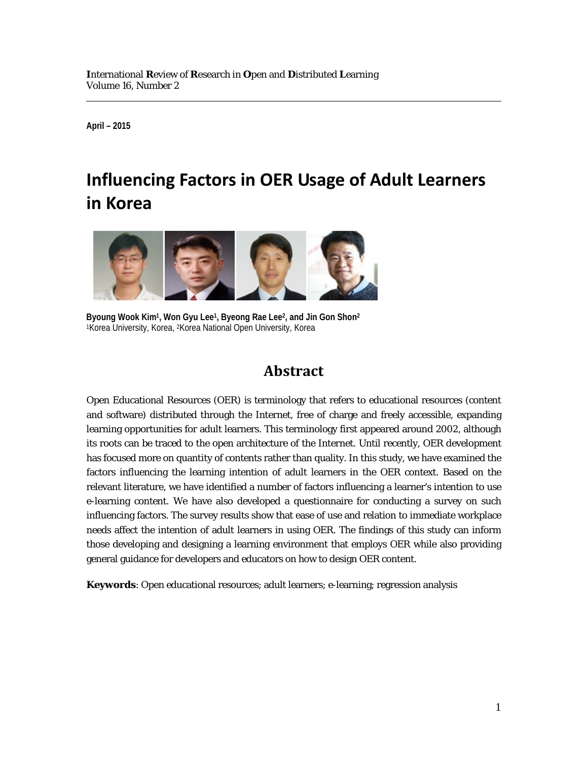**April – 2015**

# **Influencing Factors in OER Usage of Adult Learners in Korea**



**Byoung Wook Kim1, Won Gyu Lee1, Byeong Rae Lee2, and Jin Gon Shon2** 1Korea University, Korea, 2Korea National Open University, Korea

# **Abstract**

Open Educational Resources (OER) is terminology that refers to educational resources (content and software) distributed through the Internet, free of charge and freely accessible, expanding learning opportunities for adult learners. This terminology first appeared around 2002, although its roots can be traced to the open architecture of the Internet. Until recently, OER development has focused more on quantity of contents rather than quality. In this study, we have examined the factors influencing the learning intention of adult learners in the OER context. Based on the relevant literature, we have identified a number of factors influencing a learner's intention to use e-learning content. We have also developed a questionnaire for conducting a survey on such influencing factors. The survey results show that ease of use and relation to immediate workplace needs affect the intention of adult learners in using OER. The findings of this study can inform those developing and designing a learning environment that employs OER while also providing general guidance for developers and educators on how to design OER content.

**Keywords**: Open educational resources; adult learners; e-learning; regression analysis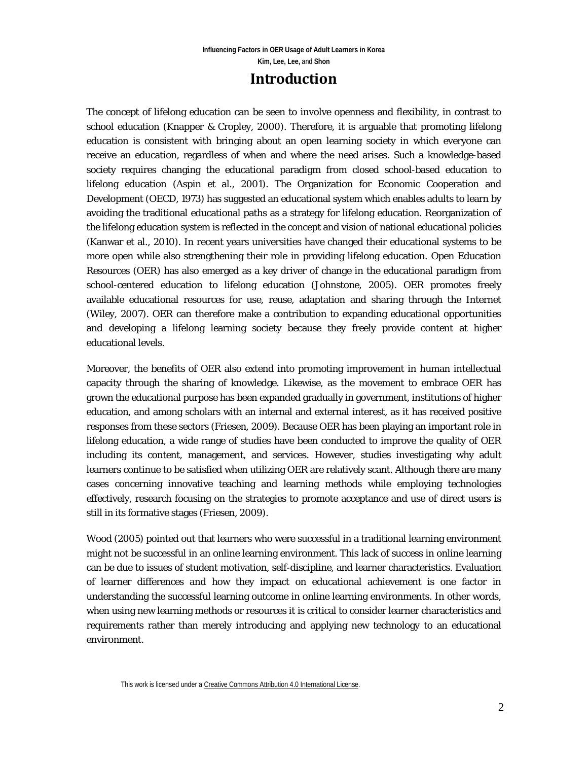### **Introduction**

The concept of lifelong education can be seen to involve openness and flexibility, in contrast to school education (Knapper & Cropley, 2000). Therefore, it is arguable that promoting lifelong education is consistent with bringing about an open learning society in which everyone can receive an education, regardless of when and where the need arises. Such a knowledge-based society requires changing the educational paradigm from closed school-based education to lifelong education (Aspin et al., 2001). The Organization for Economic Cooperation and Development (OECD, 1973) has suggested an educational system which enables adults to learn by avoiding the traditional educational paths as a strategy for lifelong education. Reorganization of the lifelong education system is reflected in the concept and vision of national educational policies (Kanwar et al., 2010). In recent years universities have changed their educational systems to be more open while also strengthening their role in providing lifelong education. Open Education Resources (OER) has also emerged as a key driver of change in the educational paradigm from school-centered education to lifelong education (Johnstone, 2005). OER promotes freely available educational resources for use, reuse, adaptation and sharing through the Internet (Wiley, 2007). OER can therefore make a contribution to expanding educational opportunities and developing a lifelong learning society because they freely provide content at higher educational levels.

Moreover, the benefits of OER also extend into promoting improvement in human intellectual capacity through the sharing of knowledge. Likewise, as the movement to embrace OER has grown the educational purpose has been expanded gradually in government, institutions of higher education, and among scholars with an internal and external interest, as it has received positive responses from these sectors (Friesen, 2009). Because OER has been playing an important role in lifelong education, a wide range of studies have been conducted to improve the quality of OER including its content, management, and services. However, studies investigating why adult learners continue to be satisfied when utilizing OER are relatively scant. Although there are many cases concerning innovative teaching and learning methods while employing technologies effectively, research focusing on the strategies to promote acceptance and use of direct users is still in its formative stages (Friesen, 2009).

Wood (2005) pointed out that learners who were successful in a traditional learning environment might not be successful in an online learning environment. This lack of success in online learning can be due to issues of student motivation, self-discipline, and learner characteristics. Evaluation of learner differences and how they impact on educational achievement is one factor in understanding the successful learning outcome in online learning environments. In other words, when using new learning methods or resources it is critical to consider learner characteristics and requirements rather than merely introducing and applying new technology to an educational environment.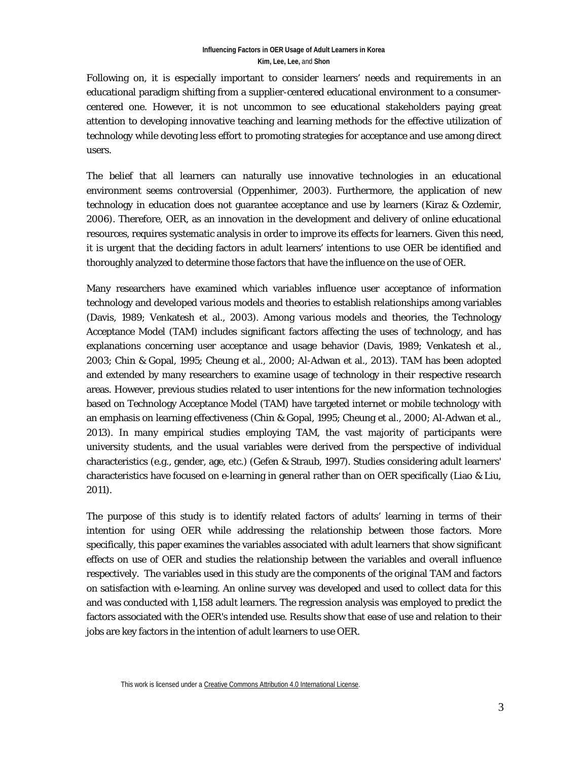Following on, it is especially important to consider learners' needs and requirements in an educational paradigm shifting from a supplier-centered educational environment to a consumercentered one. However, it is not uncommon to see educational stakeholders paying great attention to developing innovative teaching and learning methods for the effective utilization of technology while devoting less effort to promoting strategies for acceptance and use among direct users.

The belief that all learners can naturally use innovative technologies in an educational environment seems controversial (Oppenhimer, 2003). Furthermore, the application of new technology in education does not guarantee acceptance and use by learners (Kiraz & Ozdemir, 2006). Therefore, OER, as an innovation in the development and delivery of online educational resources, requires systematic analysis in order to improve its effects for learners. Given this need, it is urgent that the deciding factors in adult learners' intentions to use OER be identified and thoroughly analyzed to determine those factors that have the influence on the use of OER.

Many researchers have examined which variables influence user acceptance of information technology and developed various models and theories to establish relationships among variables (Davis, 1989; Venkatesh et al., 2003). Among various models and theories, the Technology Acceptance Model (TAM) includes significant factors affecting the uses of technology, and has explanations concerning user acceptance and usage behavior (Davis, 1989; Venkatesh et al., 2003; Chin & Gopal, 1995; Cheung et al., 2000; Al-Adwan et al., 2013). TAM has been adopted and extended by many researchers to examine usage of technology in their respective research areas. However, previous studies related to user intentions for the new information technologies based on Technology Acceptance Model (TAM) have targeted internet or mobile technology with an emphasis on learning effectiveness (Chin & Gopal, 1995; Cheung et al., 2000; Al-Adwan et al., 2013). In many empirical studies employing TAM, the vast majority of participants were university students, and the usual variables were derived from the perspective of individual characteristics (e.g., gender, age, etc.) (Gefen & Straub, 1997). Studies considering adult learners' characteristics have focused on e-learning in general rather than on OER specifically (Liao & Liu, 2011).

The purpose of this study is to identify related factors of adults' learning in terms of their intention for using OER while addressing the relationship between those factors. More specifically, this paper examines the variables associated with adult learners that show significant effects on use of OER and studies the relationship between the variables and overall influence respectively. The variables used in this study are the components of the original TAM and factors on satisfaction with e-learning. An online survey was developed and used to collect data for this and was conducted with 1,158 adult learners. The regression analysis was employed to predict the factors associated with the OER's intended use. Results show that ease of use and relation to their jobs are key factors in the intention of adult learners to use OER.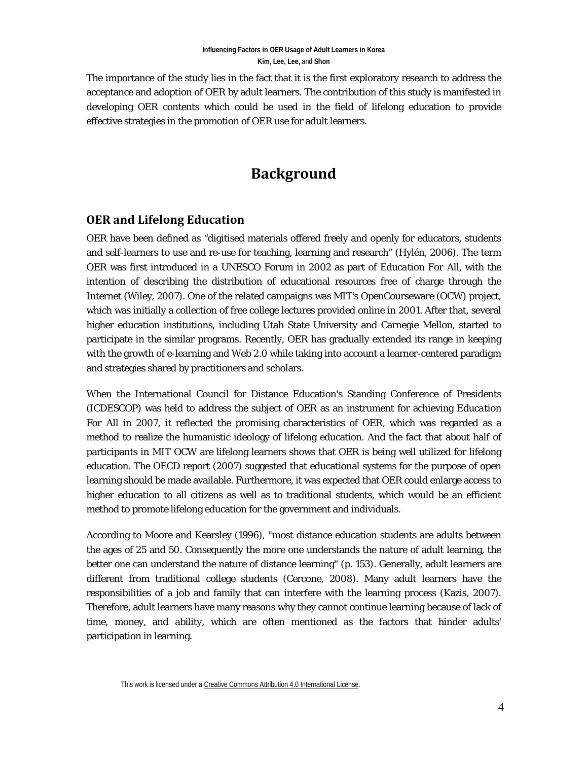The importance of the study lies in the fact that it is the first exploratory research to address the acceptance and adoption of OER by adult learners. The contribution of this study is manifested in developing OER contents which could be used in the field of lifelong education to provide effective strategies in the promotion of OER use for adult learners.

# **Background**

#### **OER and Lifelong Education**

OER have been defined as "digitised materials offered freely and openly for educators, students and self-learners to use and re-use for teaching, learning and research" (Hylén, 2006). The term OER was first introduced in a UNESCO Forum in 2002 as part of *Education For All*, with the intention of describing the distribution of educational resources free of charge through the Internet (Wiley, 2007). One of the related campaigns was MIT's OpenCourseware (OCW) project, which was initially a collection of free college lectures provided online in 2001. After that, several higher education institutions, including Utah State University and Carnegie Mellon, started to participate in the similar programs. Recently, OER has gradually extended its range in keeping with the growth of e-learning and Web 2.0 while taking into account a learner-centered paradigm and strategies shared by practitioners and scholars.

When the International Council for Distance Education's Standing Conference of Presidents (ICDESCOP) was held to address the subject of OER as an instrument for achieving *Education For All* in 2007, it reflected the promising characteristics of OER, which was regarded as a method to realize the humanistic ideology of lifelong education. And the fact that about half of participants in MIT OCW are lifelong learners shows that OER is being well utilized for lifelong education. The OECD report (2007) suggested that educational systems for the purpose of open learning should be made available. Furthermore, it was expected that OER could enlarge access to higher education to all citizens as well as to traditional students, which would be an efficient method to promote lifelong education for the government and individuals.

According to Moore and Kearsley (1996), "most distance education students are adults between the ages of 25 and 50. Consequently the more one understands the nature of adult learning, the better one can understand the nature of distance learning" (p. 153). Generally, adult learners are different from traditional college students (Cercone, 2008). Many adult learners have the responsibilities of a job and family that can interfere with the learning process (Kazis, 2007). Therefore, adult learners have many reasons why they cannot continue learning because of lack of time, money, and ability, which are often mentioned as the factors that hinder adults' participation in learning.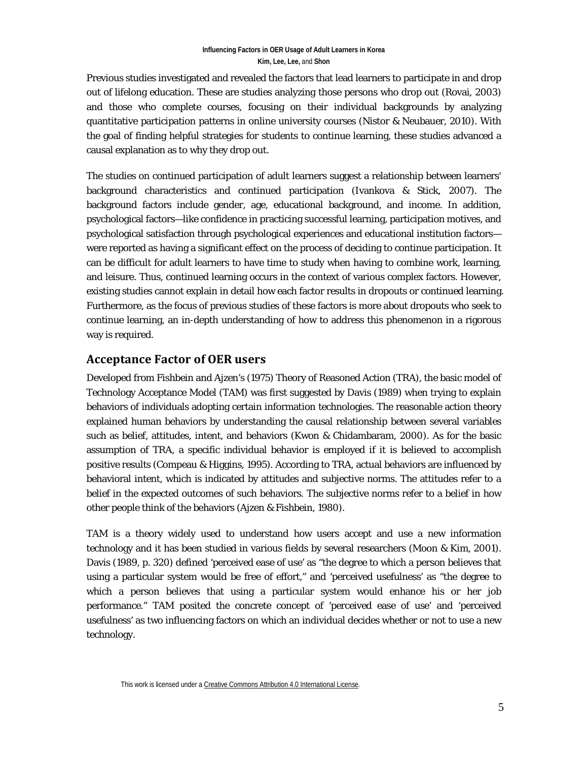Previous studies investigated and revealed the factors that lead learners to participate in and drop out of lifelong education. These are studies analyzing those persons who drop out (Rovai, 2003) and those who complete courses, focusing on their individual backgrounds by analyzing quantitative participation patterns in online university courses (Nistor & Neubauer, 2010). With the goal of finding helpful strategies for students to continue learning, these studies advanced a causal explanation as to why they drop out.

The studies on continued participation of adult learners suggest a relationship between learners' background characteristics and continued participation (Ivankova & Stick, 2007). The background factors include gender, age, educational background, and income. In addition, psychological factors—like confidence in practicing successful learning, participation motives, and psychological satisfaction through psychological experiences and educational institution factors were reported as having a significant effect on the process of deciding to continue participation. It can be difficult for adult learners to have time to study when having to combine work, learning, and leisure. Thus, continued learning occurs in the context of various complex factors. However, existing studies cannot explain in detail how each factor results in dropouts or continued learning. Furthermore, as the focus of previous studies of these factors is more about dropouts who seek to continue learning, an in-depth understanding of how to address this phenomenon in a rigorous way is required.

### **Acceptance Factor of OER users**

Developed from Fishbein and Ajzen's (1975) Theory of Reasoned Action (TRA), the basic model of Technology Acceptance Model (TAM) was first suggested by Davis (1989) when trying to explain behaviors of individuals adopting certain information technologies. The reasonable action theory explained human behaviors by understanding the causal relationship between several variables such as belief, attitudes, intent, and behaviors (Kwon & Chidambaram, 2000). As for the basic assumption of TRA, a specific individual behavior is employed if it is believed to accomplish positive results (Compeau & Higgins, 1995). According to TRA, actual behaviors are influenced by behavioral intent, which is indicated by attitudes and subjective norms. The attitudes refer to a belief in the expected outcomes of such behaviors. The subjective norms refer to a belief in how other people think of the behaviors (Ajzen & Fishbein, 1980).

TAM is a theory widely used to understand how users accept and use a new information technology and it has been studied in various fields by several researchers (Moon & Kim, 2001). Davis (1989, p. 320) defined 'perceived ease of use' as "the degree to which a person believes that using a particular system would be free of effort," and 'perceived usefulness' as "the degree to which a person believes that using a particular system would enhance his or her job performance." TAM posited the concrete concept of 'perceived ease of use' and 'perceived usefulness' as two influencing factors on which an individual decides whether or not to use a new technology.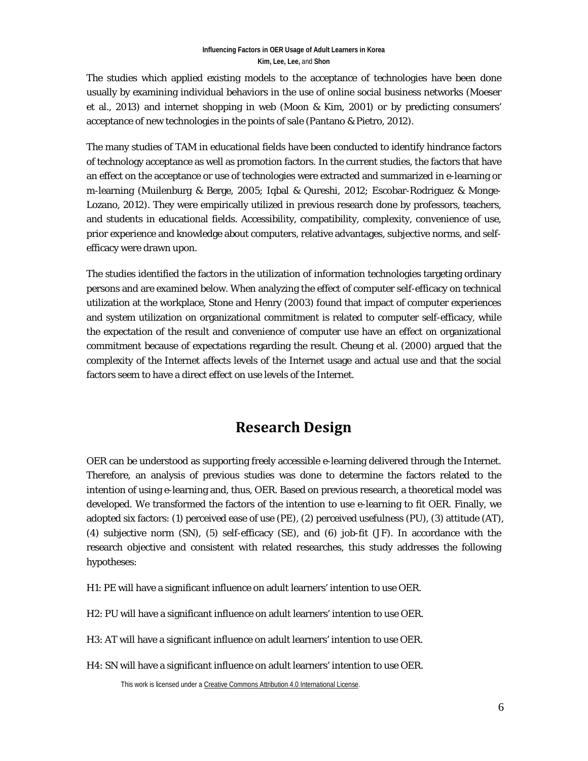The studies which applied existing models to the acceptance of technologies have been done usually by examining individual behaviors in the use of online social business networks (Moeser et al., 2013) and internet shopping in web (Moon & Kim, 2001) or by predicting consumers' acceptance of new technologies in the points of sale (Pantano & Pietro, 2012).

The many studies of TAM in educational fields have been conducted to identify hindrance factors of technology acceptance as well as promotion factors. In the current studies, the factors that have an effect on the acceptance or use of technologies were extracted and summarized in e-learning or m-learning (Muilenburg & Berge, 2005; Iqbal & Qureshi, 2012; Escobar-Rodriguez & Monge-Lozano, 2012). They were empirically utilized in previous research done by professors, teachers, and students in educational fields. Accessibility, compatibility, complexity, convenience of use, prior experience and knowledge about computers, relative advantages, subjective norms, and selfefficacy were drawn upon.

The studies identified the factors in the utilization of information technologies targeting ordinary persons and are examined below. When analyzing the effect of computer self-efficacy on technical utilization at the workplace, Stone and Henry (2003) found that impact of computer experiences and system utilization on organizational commitment is related to computer self-efficacy, while the expectation of the result and convenience of computer use have an effect on organizational commitment because of expectations regarding the result. Cheung et al. (2000) argued that the complexity of the Internet affects levels of the Internet usage and actual use and that the social factors seem to have a direct effect on use levels of the Internet.

# **Research Design**

OER can be understood as supporting freely accessible e-learning delivered through the Internet. Therefore, an analysis of previous studies was done to determine the factors related to the intention of using e-learning and, thus, OER. Based on previous research, a theoretical model was developed. We transformed the factors of the intention to use e-learning to fit OER. Finally, we adopted six factors: (1) perceived ease of use (PE), (2) perceived usefulness (PU), (3) attitude (AT), (4) subjective norm (SN), (5) self-efficacy (SE), and (6) job-fit (JF). In accordance with the research objective and consistent with related researches, this study addresses the following hypotheses:

H1: PE will have a significant influence on adult learners' intention to use OER.

H2: PU will have a significant influence on adult learners' intention to use OER.

H3: AT will have a significant influence on adult learners' intention to use OER.

H4: SN will have a significant influence on adult learners' intention to use OER.

This work is licensed under [a Creative Commons Attribution 4.0 International License.](http://creativecommons.org/licenses/by/4.0/)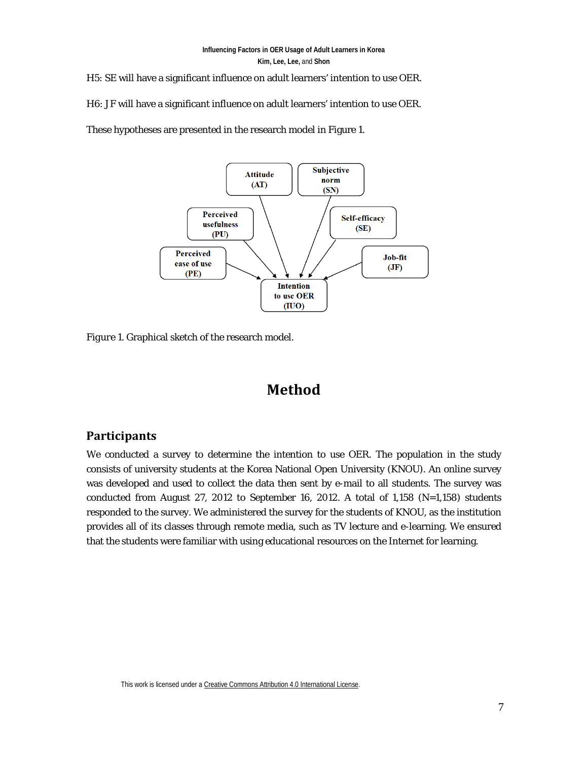H5: SE will have a significant influence on adult learners' intention to use OER.

H6: JF will have a significant influence on adult learners' intention to use OER.

These hypotheses are presented in the research model in Figure 1.



*Figure 1*. Graphical sketch of the research model.

# **Method**

#### **Participants**

We conducted a survey to determine the intention to use OER. The population in the study consists of university students at the Korea National Open University (KNOU). An online survey was developed and used to collect the data then sent by e-mail to all students. The survey was conducted from August 27, 2012 to September 16, 2012. A total of 1,158  $(N=1,158)$  students responded to the survey. We administered the survey for the students of KNOU, as the institution provides all of its classes through remote media, such as TV lecture and e-learning. We ensured that the students were familiar with using educational resources on the Internet for learning.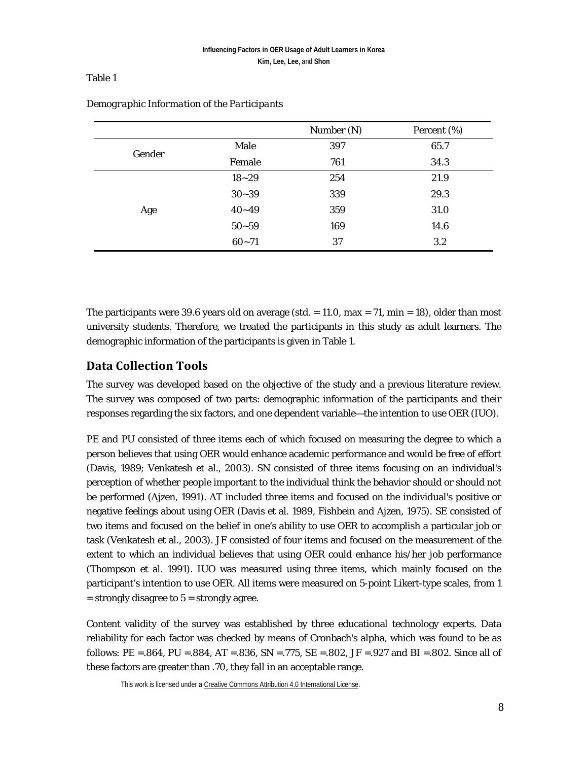#### Table 1

|        |           | Number (N) | Percent (%) |
|--------|-----------|------------|-------------|
| Gender | Male      | 397        | 65.7        |
|        | Female    | 761        | 34.3        |
| Age    | $18 - 29$ | 254        | 21.9        |
|        | $30 - 39$ | 339        | 29.3        |
|        | $40 - 49$ | 359        | 31.0        |
|        | $50 - 59$ | 169        | 14.6        |
|        | $60 - 71$ | 37         | 3.2         |

#### *Demographic Information of the Participants*

The participants were 39.6 years old on average (std.  $= 11.0$ , max  $= 71$ , min  $= 18$ ), older than most university students. Therefore, we treated the participants in this study as adult learners. The demographic information of the participants is given in Table 1.

#### **Data Collection Tools**

The survey was developed based on the objective of the study and a previous literature review. The survey was composed of two parts: demographic information of the participants and their responses regarding the six factors, and one dependent variable—the intention to use OER (IUO).

PE and PU consisted of three items each of which focused on measuring the degree to which a person believes that using OER would enhance academic performance and would be free of effort (Davis, 1989; Venkatesh et al., 2003). SN consisted of three items focusing on an individual's perception of whether people important to the individual think the behavior should or should not be performed (Ajzen, 1991). AT included three items and focused on the individual's positive or negative feelings about using OER (Davis et al. 1989, Fishbein and Ajzen, 1975). SE consisted of two items and focused on the belief in one's ability to use OER to accomplish a particular job or task (Venkatesh et al., 2003). JF consisted of four items and focused on the measurement of the extent to which an individual believes that using OER could enhance his/her job performance (Thompson et al. 1991). IUO was measured using three items, which mainly focused on the participant's intention to use OER. All items were measured on 5-point Likert-type scales, from 1  $=$  strongly disagree to  $5 =$  strongly agree.

Content validity of the survey was established by three educational technology experts. Data reliability for each factor was checked by means of Cronbach's alpha, which was found to be as follows: PE =  $.864$ , PU =  $.884$ , AT =  $.836$ , SN =  $.775$ , SE =  $.802$ , JF =  $.927$  and BI =  $.802$ . Since all of these factors are greater than .70, they fall in an acceptable range.

This work is licensed under [a Creative Commons Attribution 4.0 International License.](http://creativecommons.org/licenses/by/4.0/)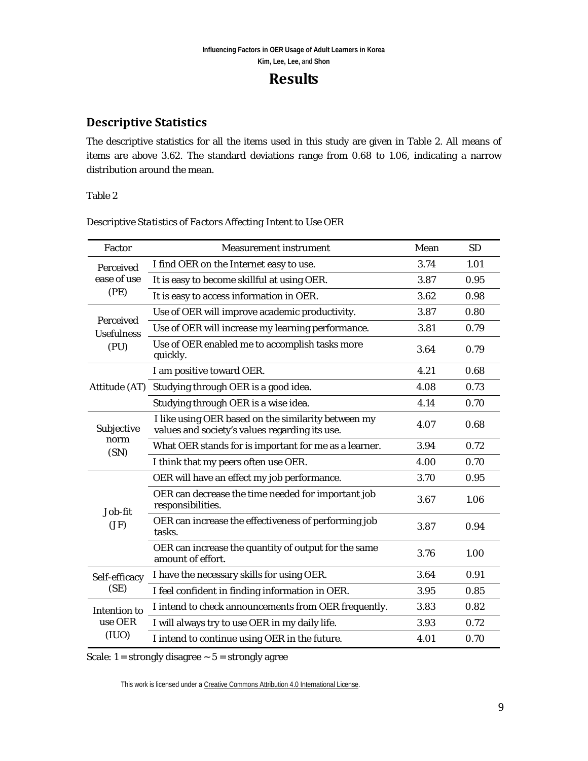## **Results**

### **Descriptive Statistics**

The descriptive statistics for all the items used in this study are given in Table 2. All means of items are above 3.62. The standard deviations range from 0.68 to 1.06, indicating a narrow distribution around the mean.

#### Table 2

| Factor                                  | <b>Measurement instrument</b>                                                                         | Mean | <b>SD</b> |
|-----------------------------------------|-------------------------------------------------------------------------------------------------------|------|-----------|
| Perceived<br>ease of use                | I find OER on the Internet easy to use.                                                               | 3.74 | 1.01      |
|                                         | It is easy to become skillful at using OER.                                                           | 3.87 | 0.95      |
| (PE)                                    | It is easy to access information in OER.                                                              | 3.62 | 0.98      |
| Perceived<br><b>Usefulness</b><br>(PU)  | Use of OER will improve academic productivity.                                                        | 3.87 | 0.80      |
|                                         | Use of OER will increase my learning performance.                                                     | 3.81 | 0.79      |
|                                         | Use of OER enabled me to accomplish tasks more<br>quickly.                                            | 3.64 | 0.79      |
|                                         | I am positive toward OER.                                                                             | 4.21 | 0.68      |
| Attitude (AT)                           | Studying through OER is a good idea.                                                                  | 4.08 | 0.73      |
|                                         | Studying through OER is a wise idea.                                                                  | 4.14 | 0.70      |
| Subjective                              | I like using OER based on the similarity between my<br>values and society's values regarding its use. | 4.07 | 0.68      |
| norm<br>(SN)                            | What OER stands for is important for me as a learner.                                                 | 3.94 | 0.72      |
|                                         | I think that my peers often use OER.                                                                  | 4.00 | 0.70      |
|                                         | OER will have an effect my job performance.                                                           | 3.70 | 0.95      |
| Job-fit                                 | OER can decrease the time needed for important job<br>responsibilities.                               | 3.67 | 1.06      |
| (JF)                                    | OER can increase the effectiveness of performing job<br>tasks.                                        | 3.87 | 0.94      |
|                                         | OER can increase the quantity of output for the same<br>amount of effort.                             | 3.76 | 1.00      |
| Self-efficacy<br>(SE)                   | I have the necessary skills for using OER.                                                            | 3.64 | 0.91      |
|                                         | I feel confident in finding information in OER.                                                       | 3.95 | 0.85      |
| <b>Intention to</b><br>use OER<br>(IUO) | I intend to check announcements from OER frequently.                                                  | 3.83 | 0.82      |
|                                         | I will always try to use OER in my daily life.                                                        | 3.93 | 0.72      |
|                                         | I intend to continue using OER in the future.                                                         | 4.01 | 0.70      |

*Descriptive Statistics of Factors Affecting Intent to Use OER*

Scale:  $1 =$  strongly disagree  $\sim 5 =$  strongly agree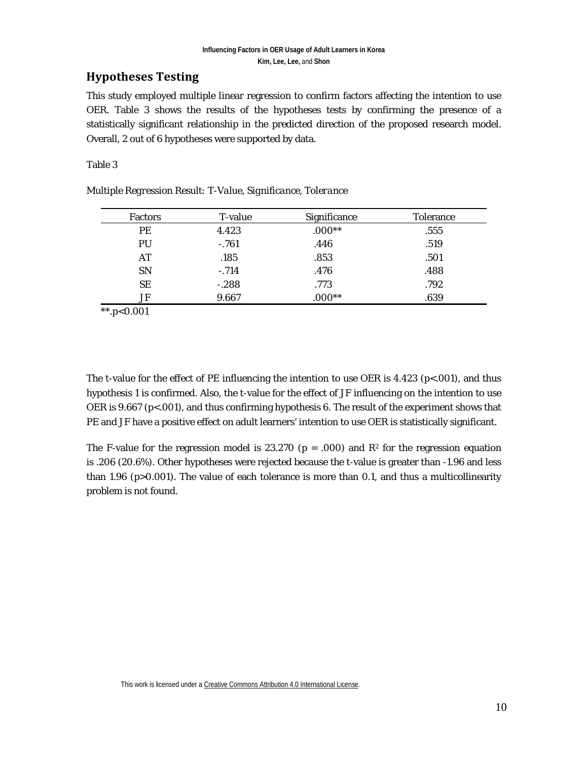### **Hypotheses Testing**

This study employed multiple linear regression to confirm factors affecting the intention to use OER. Table 3 shows the results of the hypotheses tests by confirming the presence of a statistically significant relationship in the predicted direction of the proposed research model. Overall, 2 out of 6 hypotheses were supported by data.

#### Table 3

| <b>Factors</b> | T-value | Significance | <b>Tolerance</b> |
|----------------|---------|--------------|------------------|
| PE             | 4.423   | $.000**$     | .555             |
| PU             | $-.761$ | .446         | .519             |
| AT             | .185    | .853         | .501             |
| <b>SN</b>      | $-.714$ | .476         | .488             |
| SE             | $-.288$ | .773         | .792             |
| JF             | 9.667   | $.000**$     | .639             |

*Multiple Regression Result: T-Value, Significance, Tolerance*

*\*\*.p<0.001*

The t-value for the effect of PE influencing the intention to use OER is  $4.423$  (p<.001), and thus hypothesis 1 is confirmed. Also, the t-value for the effect of JF influencing on the intention to use OER is 9.667 (p<.001), and thus confirming hypothesis 6. The result of the experiment shows that PE and JF have a positive effect on adult learners' intention to use OER is statistically significant.

The F-value for the regression model is 23.270 ( $p = .000$ ) and  $\mathbb{R}^2$  for the regression equation is .206 (20.6%). Other hypotheses were rejected because the t-value is greater than -1.96 and less than 1.96 (p>0.001). The value of each tolerance is more than 0.1, and thus a multicollinearity problem is not found.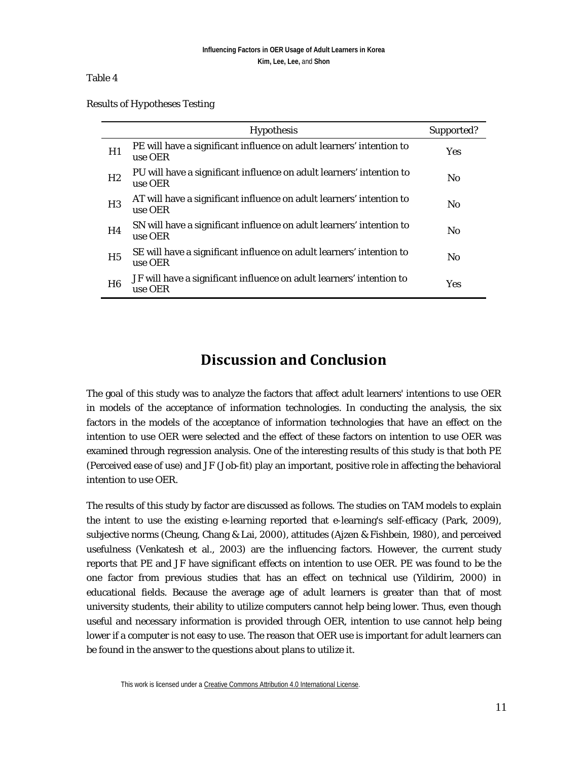#### Table 4

|  |  |  | <b>Results of Hypotheses Testing</b> |
|--|--|--|--------------------------------------|
|--|--|--|--------------------------------------|

|                | <b>Hypothesis</b>                                                               | Supported?     |
|----------------|---------------------------------------------------------------------------------|----------------|
| H1             | PE will have a significant influence on adult learners' intention to<br>use OER | <b>Yes</b>     |
| H <sub>2</sub> | PU will have a significant influence on adult learners' intention to<br>use OER | N <sub>0</sub> |
| H <sub>3</sub> | AT will have a significant influence on adult learners' intention to<br>use OER | N <sub>0</sub> |
| H4             | SN will have a significant influence on adult learners' intention to<br>use OER | N <sub>0</sub> |
| H <sub>5</sub> | SE will have a significant influence on adult learners' intention to<br>use OER | N <sub>0</sub> |
| H <sub>6</sub> | JF will have a significant influence on adult learners' intention to<br>use OER | <b>Yes</b>     |

## **Discussion and Conclusion**

The goal of this study was to analyze the factors that affect adult learners' intentions to use OER in models of the acceptance of information technologies. In conducting the analysis, the six factors in the models of the acceptance of information technologies that have an effect on the intention to use OER were selected and the effect of these factors on intention to use OER was examined through regression analysis. One of the interesting results of this study is that both PE (Perceived ease of use) and JF (Job-fit) play an important, positive role in affecting the behavioral intention to use OER.

The results of this study by factor are discussed as follows. The studies on TAM models to explain the intent to use the existing e-learning reported that e-learning's self-efficacy (Park, 2009), subjective norms (Cheung, Chang & Lai, 2000), attitudes (Ajzen & Fishbein, 1980), and perceived usefulness (Venkatesh et al., 2003) are the influencing factors. However, the current study reports that PE and JF have significant effects on intention to use OER. PE was found to be the one factor from previous studies that has an effect on technical use (Yildirim, 2000) in educational fields. Because the average age of adult learners is greater than that of most university students, their ability to utilize computers cannot help being lower. Thus, even though useful and necessary information is provided through OER, intention to use cannot help being lower if a computer is not easy to use. The reason that OER use is important for adult learners can be found in the answer to the questions about plans to utilize it.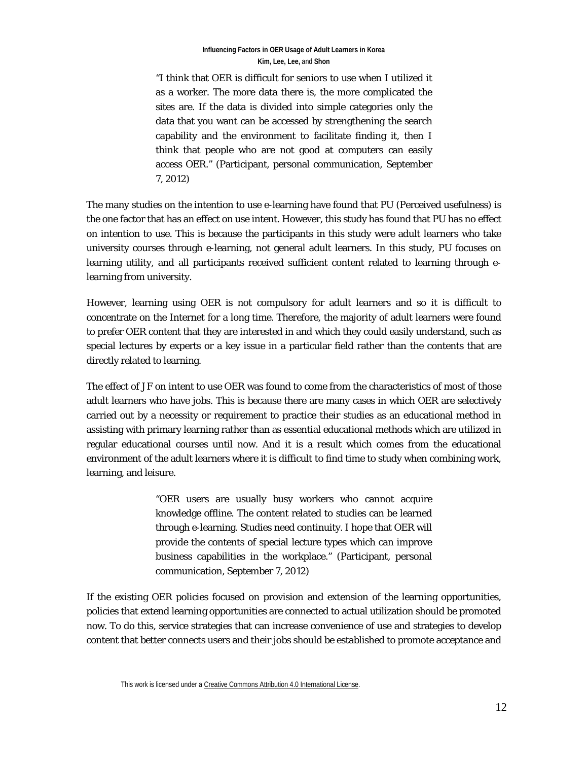#### **Influencing Factors in OER Usage of Adult Learners in Korea Kim, Lee, Lee,** and **Shon**

"I think that OER is difficult for seniors to use when I utilized it as a worker. The more data there is, the more complicated the sites are. If the data is divided into simple categories only the data that you want can be accessed by strengthening the search capability and the environment to facilitate finding it, then I think that people who are not good at computers can easily access OER." (Participant, personal communication, September 7, 2012)

The many studies on the intention to use e-learning have found that PU (Perceived usefulness) is the one factor that has an effect on use intent. However, this study has found that PU has no effect on intention to use. This is because the participants in this study were adult learners who take university courses through e-learning, not general adult learners. In this study, PU focuses on learning utility, and all participants received sufficient content related to learning through elearning from university.

However, learning using OER is not compulsory for adult learners and so it is difficult to concentrate on the Internet for a long time. Therefore, the majority of adult learners were found to prefer OER content that they are interested in and which they could easily understand, such as special lectures by experts or a key issue in a particular field rather than the contents that are directly related to learning.

The effect of JF on intent to use OER was found to come from the characteristics of most of those adult learners who have jobs. This is because there are many cases in which OER are selectively carried out by a necessity or requirement to practice their studies as an educational method in assisting with primary learning rather than as essential educational methods which are utilized in regular educational courses until now. And it is a result which comes from the educational environment of the adult learners where it is difficult to find time to study when combining work, learning, and leisure.

> "OER users are usually busy workers who cannot acquire knowledge offline. The content related to studies can be learned through e-learning. Studies need continuity. I hope that OER will provide the contents of special lecture types which can improve business capabilities in the workplace." (Participant, personal communication, September 7, 2012)

If the existing OER policies focused on provision and extension of the learning opportunities, policies that extend learning opportunities are connected to actual utilization should be promoted now. To do this, service strategies that can increase convenience of use and strategies to develop content that better connects users and their jobs should be established to promote acceptance and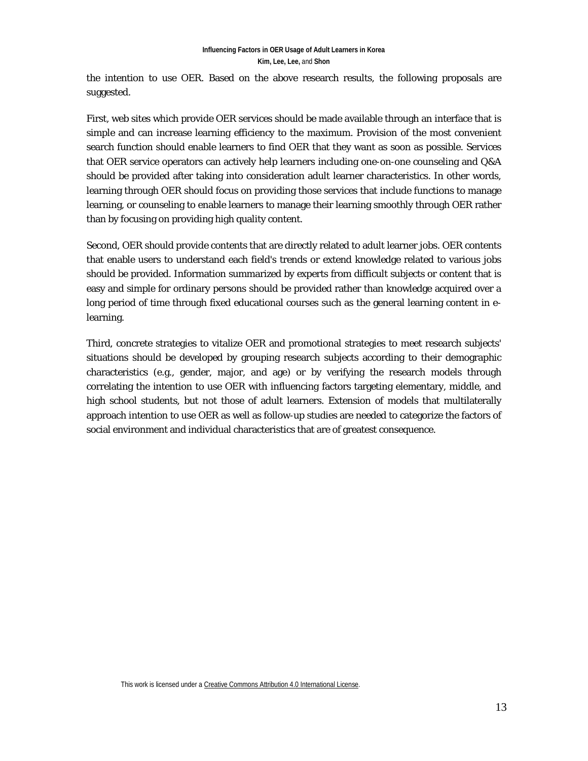the intention to use OER. Based on the above research results, the following proposals are suggested.

First, web sites which provide OER services should be made available through an interface that is simple and can increase learning efficiency to the maximum. Provision of the most convenient search function should enable learners to find OER that they want as soon as possible. Services that OER service operators can actively help learners including one-on-one counseling and Q&A should be provided after taking into consideration adult learner characteristics. In other words, learning through OER should focus on providing those services that include functions to manage learning, or counseling to enable learners to manage their learning smoothly through OER rather than by focusing on providing high quality content.

Second, OER should provide contents that are directly related to adult learner jobs. OER contents that enable users to understand each field's trends or extend knowledge related to various jobs should be provided. Information summarized by experts from difficult subjects or content that is easy and simple for ordinary persons should be provided rather than knowledge acquired over a long period of time through fixed educational courses such as the general learning content in elearning.

Third, concrete strategies to vitalize OER and promotional strategies to meet research subjects' situations should be developed by grouping research subjects according to their demographic characteristics (e.g., gender, major, and age) or by verifying the research models through correlating the intention to use OER with influencing factors targeting elementary, middle, and high school students, but not those of adult learners. Extension of models that multilaterally approach intention to use OER as well as follow-up studies are needed to categorize the factors of social environment and individual characteristics that are of greatest consequence.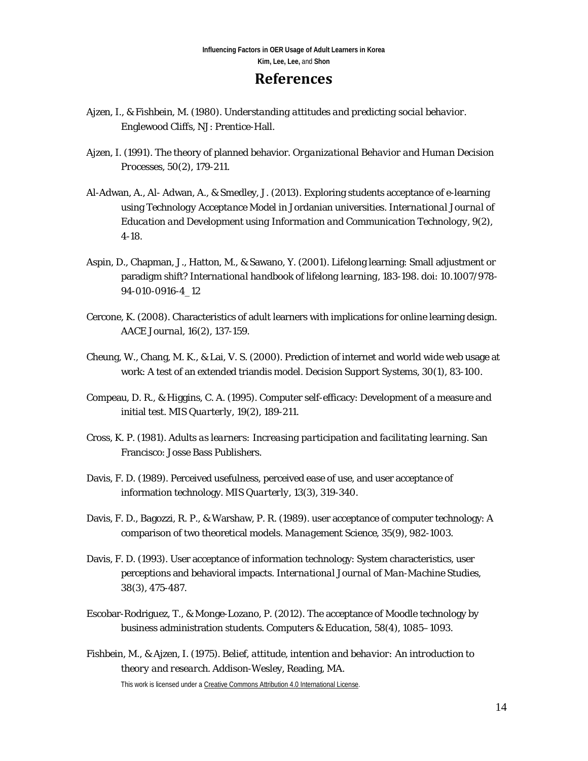### **References**

- Ajzen, I., & Fishbein, M. (1980). *Understanding attitudes and predicting social behavior*. Englewood Cliffs, NJ: Prentice-Hall.
- Ajzen, I. (1991). The theory of planned behavior. *Organizational Behavior and Human Decision Processes, 50*(2), 179-211.
- Al-Adwan, A., Al- Adwan, A., & Smedley, J. (2013). Exploring students acceptance of e-learning using *Technology Acceptance Model* in Jordanian universities. *International Journal of Education and Development using Information and Communication Technology, 9*(2), 4-18.
- Aspin, D., Chapman, J., Hatton, M., & Sawano, Y. (2001). Lifelong learning: Small adjustment or paradigm shift? *International handbook of lifelong learning*, 183-198. doi: 10.1007/978- 94-010-0916-4\_12
- Cercone, K. (2008). Characteristics of adult learners with implications for online learning design. *AACE Journal, 16*(2), 137-159.
- Cheung, W., Chang, M. K., & Lai, V. S. (2000). Prediction of internet and world wide web usage at work: A test of an extended triandis model. *Decision Support Systems, 30*(1), 83-100.
- Compeau, D. R., & Higgins, C. A. (1995). Computer self-efficacy: Development of a measure and initial test. *MIS Quarterly, 19*(2), 189-211.
- Cross, K. P. (1981). *Adults as learners: Increasing participation and facilitating learning*. San Francisco: Josse Bass Publishers.
- Davis, F. D. (1989). Perceived usefulness, perceived ease of use, and user acceptance of information technology. *MIS Quarterly, 13*(3), 319-340.
- Davis, F. D., Bagozzi, R. P., & Warshaw, P. R. (1989). user acceptance of computer technology: A comparison of two theoretical models. *Management Science, 35*(9), 982-1003.
- Davis, F. D. (1993). User acceptance of information technology: System characteristics, user perceptions and behavioral impacts. *International Journal of Man-Machine Studies, 38*(3), 475-487.
- Escobar-Rodriguez, T., & Monge-Lozano, P. (2012). The acceptance of Moodle technology by business administration students. *Computers & Education, 58*(4), 1085–1093.
- Fishbein, M., & Ajzen, I. (1975). *Belief, attitude, intention and behavior: An introduction to theory and research*. Addison-Wesley, Reading, MA.

This work is licensed under [a Creative Commons Attribution 4.0 International License.](http://creativecommons.org/licenses/by/4.0/)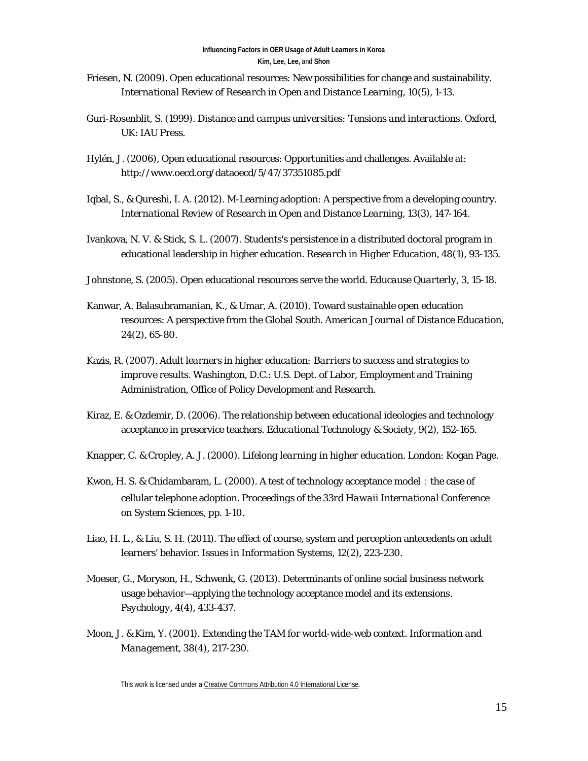- Friesen, N. (2009). Open educational resources: New possibilities for change and sustainability. *International Review of Research in Open and Distance Learning, 10*(5), 1-13.
- Guri-Rosenblit, S. (1999). *Distance and campus universities: Tensions and interactions*. Oxford, UK: IAU Press.
- Hylén, J. (2006), Open educational resources: Opportunities and challenges. Available at: http://www.oecd.org/dataoecd/5/47/37351085.pdf
- Iqbal, S., & Qureshi, I. A. (2012). M-Learning adoption: A perspective from a developing country. *International Review of Research in Open and Distance Learning, 13*(3), 147-164.
- Ivankova, N. V. & Stick, S. L. (2007). Students's persistence in a distributed doctoral program in educational leadership in higher education. *Research in Higher Education, 48*(1), 93-135.
- Johnstone, S. (2005). Open educational resources serve the world. *Educause Quarterly, 3*, 15-18.
- Kanwar, A. Balasubramanian, K., & Umar, A. (2010). Toward sustainable open education resources: A perspective from the Global South. *American Journal of Distance Education, 24*(2), 65-80.
- Kazis, R. (2007). *Adult learners in higher education: Barriers to success and strategies to improve results*. Washington, D.C.: U.S. Dept. of Labor, Employment and Training Administration, Office of Policy Development and Research.
- Kiraz, E. & Ozdemir, D. (2006). The relationship between educational ideologies and technology acceptance in preservice teachers. *Educational Technology & Society, 9*(2), 152-165.
- Knapper, C. & Cropley, A. J. (2000). *Lifelong learning in higher education*. London: Kogan Page.
- Kwon, H. S. & Chidambaram, L. (2000). A test of technology acceptance model: the case of cellular telephone adoption. *Proceedings of the 33rd Hawaii International Conference on System Sciences*, pp. 1-10.
- Liao, H. L., & Liu, S. H. (2011). The effect of course, system and perception antecedents on adult learners' behavior. *Issues in Information Systems, 12*(2), 223-230.
- Moeser, G., Moryson, H., Schwenk, G. (2013). Determinants of online social business network usage behavior—applying the technology acceptance model and its extensions. *Psychology, 4*(4), 433-437.
- Moon, J. & Kim, Y. (2001). Extending the TAM for world-wide-web context. *Information and Management, 38*(4), 217-230.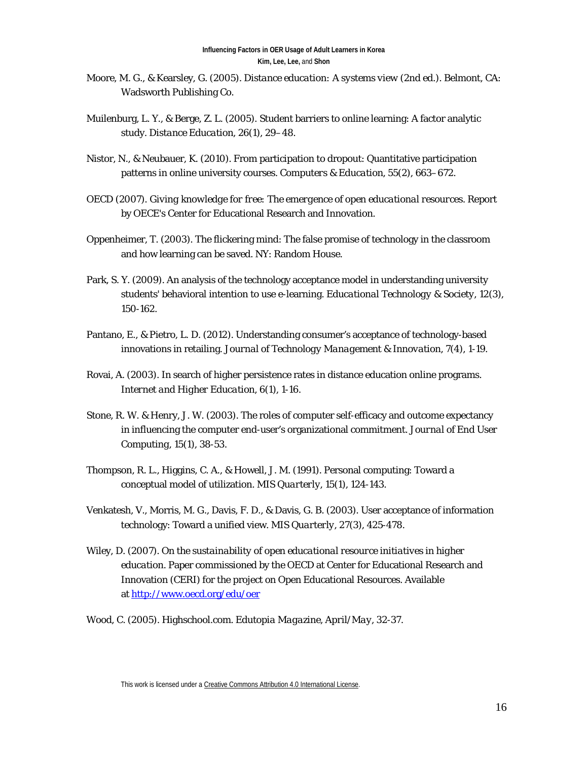- Moore, M. G., & Kearsley, G. (2005). *Distance education: A systems view* (2nd ed.). Belmont, CA: Wadsworth Publishing Co.
- Muilenburg, L. Y., & Berge, Z. L. (2005). Student barriers to online learning: A factor analytic study. *Distance Education, 26*(1), 29–48.
- Nistor, N., & Neubauer, K. (2010). From participation to dropout: Quantitative participation patterns in online university courses. *Computers & Education, 55*(2), 663–672.
- OECD (2007). *Giving knowledge for free: The emergence of open educational resources*. Report by OECE's Center for Educational Research and Innovation.
- Oppenheimer, T. (2003). The flickering mind: The false promise of technology in the classroom and how learning can be saved. NY: Random House.
- Park, S. Y. (2009). An analysis of the technology acceptance model in understanding university students' behavioral intention to use e-learning. *Educational Technology & Society, 12*(3), 150-162.
- Pantano, E., & Pietro, L. D. (2012). Understanding consumer's acceptance of technology-based innovations in retailing. *Journal of Technology Management & Innovation, 7*(4), 1-19.
- Rovai, A. (2003). In search of higher persistence rates in distance education online programs. *Internet and Higher Education, 6*(1), 1-16.
- Stone, R. W. & Henry, J. W. (2003). The roles of computer self-efficacy and outcome expectancy in influencing the computer end-user's organizational commitment. *Journal of End User Computing, 15*(1), 38-53.
- Thompson, R. L., Higgins, C. A., & Howell, J. M. (1991). Personal computing: Toward a conceptual model of utilization. *MIS Quarterly, 15*(1), 124-143.
- Venkatesh, V., Morris, M. G., Davis, F. D., & Davis, G. B. (2003). User acceptance of information technology: Toward a unified view. *MIS Quarterly, 27*(3), 425-478.
- Wiley, D. (2007). *On the sustainability of open educational resource initiatives in higher education*. Paper commissioned by the OECD at Center for Educational Research and Innovation (CERI) for the project on Open Educational Resources. Available at<http://www.oecd.org/edu/oer>

Wood, C. (2005). Highschool.com. *Edutopia Magazine, April/May*, 32-37.